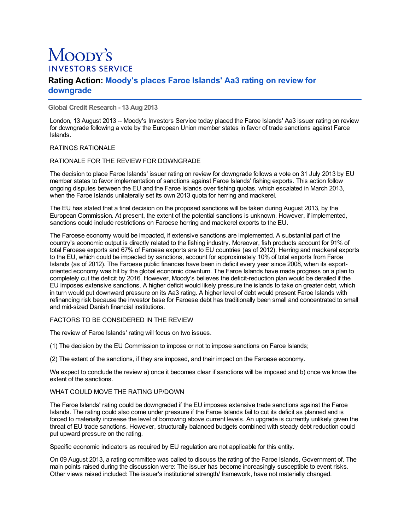# Moopy's **INVESTORS SERVICE**

### **Rating Action: Moody's places Faroe Islands' Aa3 rating on review for downgrade**

#### **Global Credit Research - 13 Aug 2013**

London, 13 August 2013 -- Moody's Investors Service today placed the Faroe Islands' Aa3 issuer rating on review for downgrade following a vote by the European Union member states in favor of trade sanctions against Faroe Islands.

#### RATINGS RATIONALE

#### RATIONALE FOR THE REVIEW FOR DOWNGRADE

The decision to place Faroe Islands' issuer rating on review for downgrade follows a vote on 31 July 2013 by EU member states to favor implementation of sanctions against Faroe Islands' fishing exports. This action follow ongoing disputes between the EU and the Faroe Islands over fishing quotas, which escalated in March 2013, when the Faroe Islands unilaterally set its own 2013 quota for herring and mackerel.

The EU has stated that a final decision on the proposed sanctions will be taken during August 2013, by the European Commission. At present, the extent of the potential sanctions is unknown. However, if implemented, sanctions could include restrictions on Faroese herring and mackerel exports to the EU.

The Faroese economy would be impacted, if extensive sanctions are implemented. A substantial part of the country's economic output is directly related to the fishing industry. Moreover, fish products account for 91% of total Faroese exports and 67% of Faroese exports are to EU countries (as of 2012). Herring and mackerel exports to the EU, which could be impacted by sanctions, account for approximately 10% of total exports from Faroe Islands (as of 2012). The Faroese public finances have been in deficit every year since 2008, when its exportoriented economy was hit by the global economic downturn. The Faroe Islands have made progress on a plan to completely cut the deficit by 2016. However, Moody's believes the deficit-reduction plan would be derailed if the EU imposes extensive sanctions. A higher deficit would likely pressure the islands to take on greater debt, which in turn would put downward pressure on its Aa3 rating. A higher level of debt would present Faroe Islands with refinancing risk because the investor base for Faroese debt has traditionally been small and concentrated to small and mid-sized Danish financial institutions.

#### FACTORS TO BE CONSIDERED IN THE REVIEW

The review of Faroe Islands' rating will focus on two issues.

(1) The decision by the EU Commission to impose or not to impose sanctions on Faroe Islands;

(2) The extent of the sanctions, if they are imposed, and their impact on the Faroese economy.

We expect to conclude the review a) once it becomes clear if sanctions will be imposed and b) once we know the extent of the sanctions.

#### WHAT COULD MOVE THE RATING UP/DOWN

The Faroe Islands' rating could be downgraded if the EU imposes extensive trade sanctions against the Faroe Islands. The rating could also come under pressure if the Faroe Islands fail to cut its deficit as planned and is forced to materially increase the level of borrowing above current levels. An upgrade is currently unlikely given the threat of EU trade sanctions. However, structurally balanced budgets combined with steady debt reduction could put upward pressure on the rating.

Specific economic indicators as required by EU regulation are not applicable for this entity.

On 09 August 2013, a rating committee was called to discuss the rating of the Faroe Islands, Government of. The main points raised during the discussion were: The issuer has become increasingly susceptible to event risks. Other views raised included: The issuer's institutional strength/ framework, have not materially changed.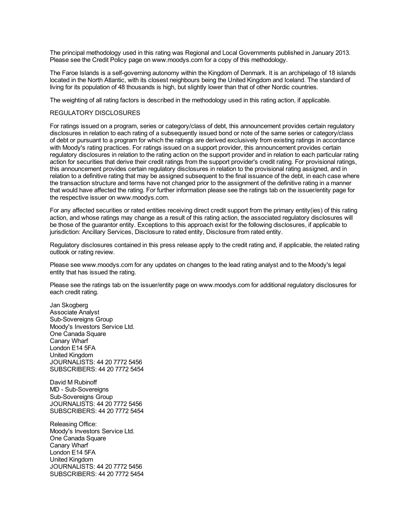The principal methodology used in this rating was Regional and Local Governments published in January 2013. Please see the Credit Policy page on www.moodys.com for a copy of this methodology.

The Faroe Islands is a self-governing autonomy within the Kingdom of Denmark. It is an archipelago of 18 islands located in the North Atlantic, with its closest neighbours being the United Kingdom and Iceland. The standard of living for its population of 48 thousands is high, but slightly lower than that of other Nordic countries.

The weighting of all rating factors is described in the methodology used in this rating action, if applicable.

#### REGULATORY DISCLOSURES

For ratings issued on a program, series or category/class of debt, this announcement provides certain regulatory disclosures in relation to each rating of a subsequently issued bond or note of the same series or category/class of debt or pursuant to a program for which the ratings are derived exclusively from existing ratings in accordance with Moody's rating practices. For ratings issued on a support provider, this announcement provides certain regulatory disclosures in relation to the rating action on the support provider and in relation to each particular rating action for securities that derive their credit ratings from the support provider's credit rating. For provisional ratings, this announcement provides certain regulatory disclosures in relation to the provisional rating assigned, and in relation to a definitive rating that may be assigned subsequent to the final issuance of the debt, in each case where the transaction structure and terms have not changed prior to the assignment of the definitive rating in a manner that would have affected the rating. For further information please see the ratings tab on the issuer/entity page for the respective issuer on www.moodys.com.

For any affected securities or rated entities receiving direct credit support from the primary entity(ies) of this rating action, and whose ratings may change as a result of this rating action, the associated regulatory disclosures will be those of the guarantor entity. Exceptions to this approach exist for the following disclosures, if applicable to jurisdiction: Ancillary Services, Disclosure to rated entity, Disclosure from rated entity.

Regulatory disclosures contained in this press release apply to the credit rating and, if applicable, the related rating outlook or rating review.

Please see www.moodys.com for any updates on changes to the lead rating analyst and to the Moody's legal entity that has issued the rating.

Please see the ratings tab on the issuer/entity page on www.moodys.com for additional regulatory disclosures for each credit rating.

Jan Skogberg Associate Analyst Sub-Sovereigns Group Moody's Investors Service Ltd. One Canada Square Canary Wharf London E14 5FA United Kingdom JOURNALISTS: 44 20 7772 5456 SUBSCRIBERS: 44 20 7772 5454

David M Rubinoff MD - Sub-Sovereigns Sub-Sovereigns Group JOURNALISTS: 44 20 7772 5456 SUBSCRIBERS: 44 20 7772 5454

Releasing Office: Moody's Investors Service Ltd. One Canada Square Canary Wharf London E14 5FA United Kingdom JOURNALISTS: 44 20 7772 5456 SUBSCRIBERS: 44 20 7772 5454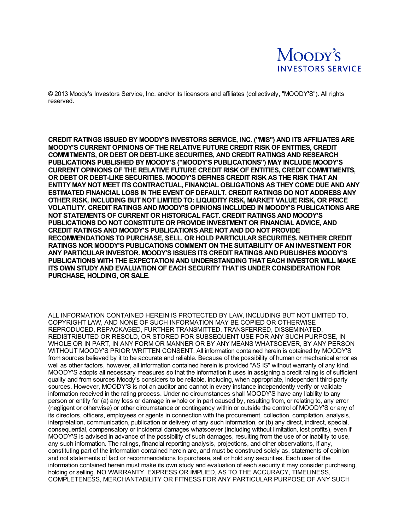## Moopy's **INVESTORS SERVICE**

© 2013 Moody's Investors Service, Inc. and/or its licensors and affiliates (collectively, "MOODY'S"). All rights reserved.

**CREDIT RATINGS ISSUED BY MOODY'S INVESTORS SERVICE, INC. ("MIS") AND ITS AFFILIATES ARE MOODY'S CURRENT OPINIONS OF THE RELATIVE FUTURE CREDIT RISK OF ENTITIES, CREDIT COMMITMENTS, OR DEBT OR DEBT-LIKE SECURITIES, AND CREDIT RATINGS AND RESEARCH PUBLICATIONS PUBLISHED BY MOODY'S ("MOODY'S PUBLICATIONS") MAY INCLUDE MOODY'S CURRENT OPINIONS OF THE RELATIVE FUTURE CREDIT RISK OF ENTITIES, CREDIT COMMITMENTS, OR DEBT OR DEBT-LIKE SECURITIES. MOODY'S DEFINES CREDIT RISK AS THE RISK THAT AN ENTITY MAY NOT MEET ITS CONTRACTUAL, FINANCIAL OBLIGATIONS AS THEY COME DUE AND ANY ESTIMATED FINANCIAL LOSS IN THE EVENT OF DEFAULT. CREDIT RATINGS DO NOT ADDRESS ANY OTHER RISK, INCLUDING BUT NOT LIMITED TO: LIQUIDITY RISK, MARKET VALUE RISK, OR PRICE VOLATILITY. CREDIT RATINGS AND MOODY'S OPINIONS INCLUDED IN MOODY'S PUBLICATIONS ARE NOT STATEMENTS OF CURRENT OR HISTORICAL FACT. CREDIT RATINGS AND MOODY'S PUBLICATIONS DO NOT CONSTITUTE OR PROVIDE INVESTMENT OR FINANCIAL ADVICE, AND CREDIT RATINGS AND MOODY'S PUBLICATIONS ARE NOT AND DO NOT PROVIDE RECOMMENDATIONS TO PURCHASE, SELL, OR HOLD PARTICULAR SECURITIES. NEITHER CREDIT RATINGS NOR MOODY'S PUBLICATIONS COMMENT ON THE SUITABILITY OF AN INVESTMENT FOR ANY PARTICULAR INVESTOR. MOODY'S ISSUES ITS CREDIT RATINGS AND PUBLISHES MOODY'S PUBLICATIONS WITH THE EXPECTATION AND UNDERSTANDING THAT EACH INVESTOR WILL MAKE ITS OWN STUDY AND EVALUATION OF EACH SECURITY THAT IS UNDER CONSIDERATION FOR PURCHASE, HOLDING, OR SALE.**

ALL INFORMATION CONTAINED HEREIN IS PROTECTED BY LAW, INCLUDING BUT NOT LIMITED TO, COPYRIGHT LAW, AND NONE OF SUCH INFORMATION MAY BE COPIED OR OTHERWISE REPRODUCED, REPACKAGED, FURTHER TRANSMITTED, TRANSFERRED, DISSEMINATED, REDISTRIBUTED OR RESOLD, OR STORED FOR SUBSEQUENT USE FOR ANY SUCH PURPOSE, IN WHOLE OR IN PART, IN ANY FORM OR MANNER OR BY ANY MEANS WHATSOEVER, BY ANY PERSON WITHOUT MOODY'S PRIOR WRITTEN CONSENT. All information contained herein is obtained by MOODY'S from sources believed by it to be accurate and reliable. Because of the possibility of human or mechanical error as well as other factors, however, all information contained herein is provided "AS IS" without warranty of any kind. MOODY'S adopts all necessary measures so that the information it uses in assigning a credit rating is of sufficient quality and from sources Moody's considers to be reliable, including, when appropriate, independent third-party sources. However, MOODY'S is not an auditor and cannot in every instance independently verify or validate information received in the rating process. Under no circumstances shall MOODY'S have any liability to any person or entity for (a) any loss or damage in whole or in part caused by, resulting from, or relating to, any error (negligent or otherwise) or other circumstance or contingency within or outside the control of MOODY'S or any of its directors, officers, employees or agents in connection with the procurement, collection, compilation, analysis, interpretation, communication, publication or delivery of any such information, or (b) any direct, indirect, special, consequential, compensatory or incidental damages whatsoever (including without limitation, lost profits), even if MOODY'S is advised in advance of the possibility of such damages, resulting from the use of or inability to use, any such information. The ratings, financial reporting analysis, projections, and other observations, if any, constituting part of the information contained herein are, and must be construed solely as, statements of opinion and not statements of fact or recommendations to purchase, sell or hold any securities. Each user of the information contained herein must make its own study and evaluation of each security it may consider purchasing, holding or selling. NO WARRANTY, EXPRESS OR IMPLIED, AS TO THE ACCURACY, TIMELINESS, COMPLETENESS, MERCHANTABILITY OR FITNESS FOR ANY PARTICULAR PURPOSE OF ANY SUCH